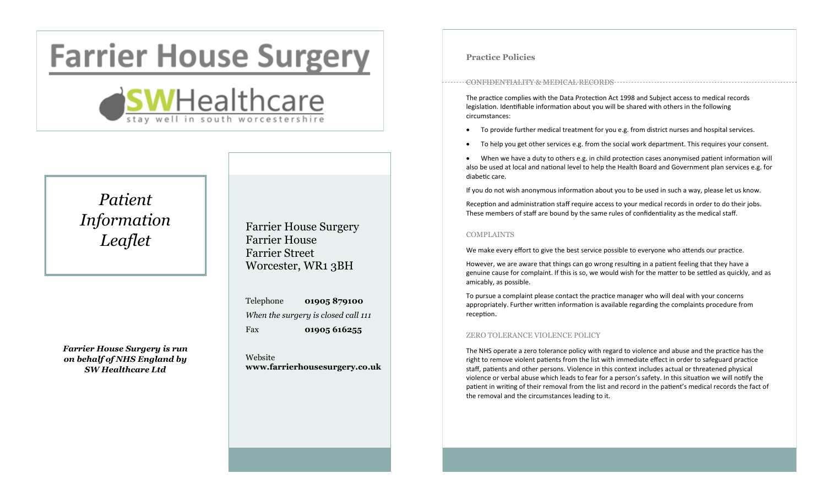# **Farrier House Surgery**



# *Patient Information Leaflet*

*Farrier House Surgery is run on behalf of NHS England by SW Healthcare Ltd*

Farrier House Surgery Farrier House Farrier Street Worcester, WR1 3BH

Telephone **01905 879100** *When the surgery is closed call 111* Fax **01905 616255**

Website **www.farrierhousesurgery.co.uk**

#### **Practice Policies**

#### CONFIDENTIALITY & MEDICAL RECORDS

The practice complies with the Data Protection Act 1998 and Subject access to medical records legislation. Identifiable information about you will be shared with others in the following circumstances:

- To provide further medical treatment for you e.g. from district nurses and hospital services.
- To help you get other services e.g. from the social work department. This requires your consent.

 When we have a duty to others e.g. in child protection cases anonymised patient information will also be used at local and national level to help the Health Board and Government plan services e.g. for diabetic care.

If you do not wish anonymous information about you to be used in such a way, please let us know.

Reception and administration staff require access to your medical records in order to do their jobs. These members of staff are bound by the same rules of confidentiality as the medical staff.

#### COMPLAINTS

We make every effort to give the best service possible to everyone who attends our practice.

However, we are aware that things can go wrong resulting in a patient feeling that they have a genuine cause for complaint. If this is so, we would wish for the matter to be settled as quickly, and as amicably, as possible.

To pursue a complaint please contact the practice manager who will deal with your concerns appropriately. Further written information is available regarding the complaints procedure from reception.

#### ZERO TOLERANCE VIOLENCE POLICY

The NHS operate a zero tolerance policy with regard to violence and abuse and the practice has the right to remove violent patients from the list with immediate effect in order to safeguard practice staff, patients and other persons. Violence in this context includes actual or threatened physical violence or verbal abuse which leads to fear for a person's safety. In this situation we will notify the patient in writing of their removal from the list and record in the patient's medical records the fact of the removal and the circumstances leading to it.